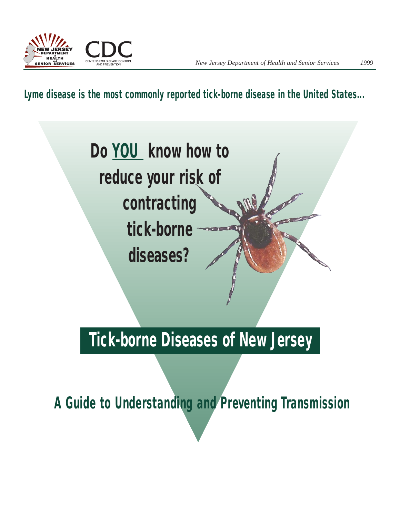

*Lyme disease is the most commonly reported tick-borne disease in the United States...*



# **Tick-borne Diseases of New Jersey**

*A Guide to Understanding and Preventing Transmission*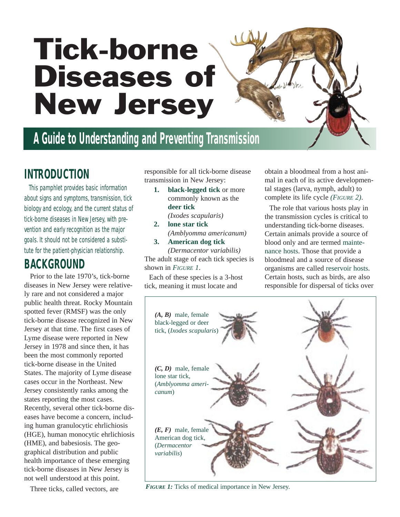# Tick-borne Diseases of New Jersey

# **A Guide to Understanding and Preventing Transmission**

### **INTRODUCTION**

This pamphlet provides basic information about signs and symptoms, transmission, tick biology and ecology, and the current status of tick-borne diseases in New Jersey, with prevention and early recognition as the major goals. It should not be considered a substitute for the patient-physician relationship.

### **BACKGROUND**

Prior to the late 1970's, tick-borne diseases in New Jersey were relatively rare and not considered a major public health threat. Rocky Mountain spotted fever (RMSF) was the only tick-borne disease recognized in New Jersey at that time. The first cases of Lyme disease were reported in New Jersey in 1978 and since then, it has been the most commonly reported tick-borne disease in the United States. The majority of Lyme disease cases occur in the Northeast. New Jersey consistently ranks among the states reporting the most cases. Recently, several other tick-borne diseases have become a concern, including human granulocytic ehrlichiosis (HGE), human monocytic ehrlichiosis (HME), and babesiosis. The geographical distribution and public health importance of these emerging tick-borne diseases in New Jersey is not well understood at this point.

Three ticks, called vectors, are

responsible for all tick-borne disease transmission in New Jersey:

- **1. black-legged tick** or more commonly known as the **deer tick**
- *(Ixodes scapularis)* **2. lone star tick**
- *(Amblyomma americanum)* **3. American dog tick**

*(Dermacentor variabilis)* The adult stage of each tick species is shown in *FIGURE 1*.

Each of these species is a 3-host tick, meaning it must locate and

obtain a bloodmeal from a host animal in each of its active developmental stages (larva, nymph, adult) to complete its life cycle *(FIGURE 2)*.

The role that various hosts play in the transmission cycles is critical to understanding tick-borne diseases. Certain animals provide a source of blood only and are termed maintenance hosts. Those that provide a bloodmeal and a source of disease organisms are called reservoir hosts. Certain hosts, such as birds, are also responsible for dispersal of ticks over



*FIGURE 1:* Ticks of medical importance in New Jersey.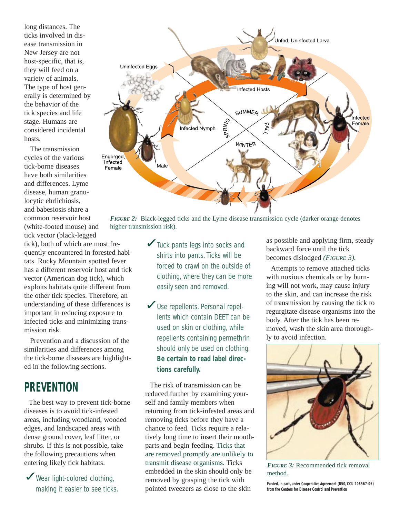long distances. The ticks involved in disease transmission in New Jersey are not host-specific, that is, they will feed on a variety of animals. The type of host generally is determined by the behavior of the tick species and life stage. Humans are considered incidental hosts.

The transmission cycles of the various tick-borne diseases have both similarities and differences. Lyme disease, human granulocytic ehrlichiosis, and babesiosis share a common reservoir host (white-footed mouse) and tick vector (black-legged

tick), both of which are most frequently encountered in forested habitats. Rocky Mountain spotted fever has a different reservoir host and tick vector (American dog tick), which exploits habitats quite different from the other tick species. Therefore, an understanding of these differences is important in reducing exposure to infected ticks and minimizing transmission risk.

Prevention and a discussion of the similarities and differences among the tick-borne diseases are highlighted in the following sections.

### **PREVENTION**

The best way to prevent tick-borne diseases is to avoid tick-infested areas, including woodland, wooded edges, and landscaped areas with dense ground cover, leaf litter, or shrubs. If this is not possible, take the following precautions when entering likely tick habitats.

✓Wear light-colored clothing, making it easier to see ticks.



*FIGURE 2:* Black-legged ticks and the Lyme disease transmission cycle (darker orange denotes higher transmission risk).

- **▼**Tuck pants legs into socks and shirts into pants. Ticks will be forced to crawl on the outside of clothing, where they can be more easily seen and removed.
- Use repellents. Personal repellents which contain DEET can be used on skin or clothing, while repellents containing permethrin should only be used on clothing. **Be certain to read label directions carefully.**

The risk of transmission can be reduced further by examining yourself and family members when returning from tick-infested areas and removing ticks before they have a chance to feed. Ticks require a relatively long time to insert their mouthparts and begin feeding. Ticks that are removed promptly are unlikely to transmit disease organisms. Ticks embedded in the skin should only be removed by grasping the tick with pointed tweezers as close to the skin

as possible and applying firm, steady backward force until the tick becomes dislodged *(FIGURE 3).* 

Attempts to remove attached ticks with noxious chemicals or by burning will not work, may cause injury to the skin, and can increase the risk of transmission by causing the tick to regurgitate disease organisms into the body. After the tick has been removed, wash the skin area thoroughly to avoid infection.



*FIGURE 3:* Recommended tick removal method.

*Funded, in part,under Cooperative Agreement (U50/CCU 206567-06) from the Centers for Disease Control and Prevention*